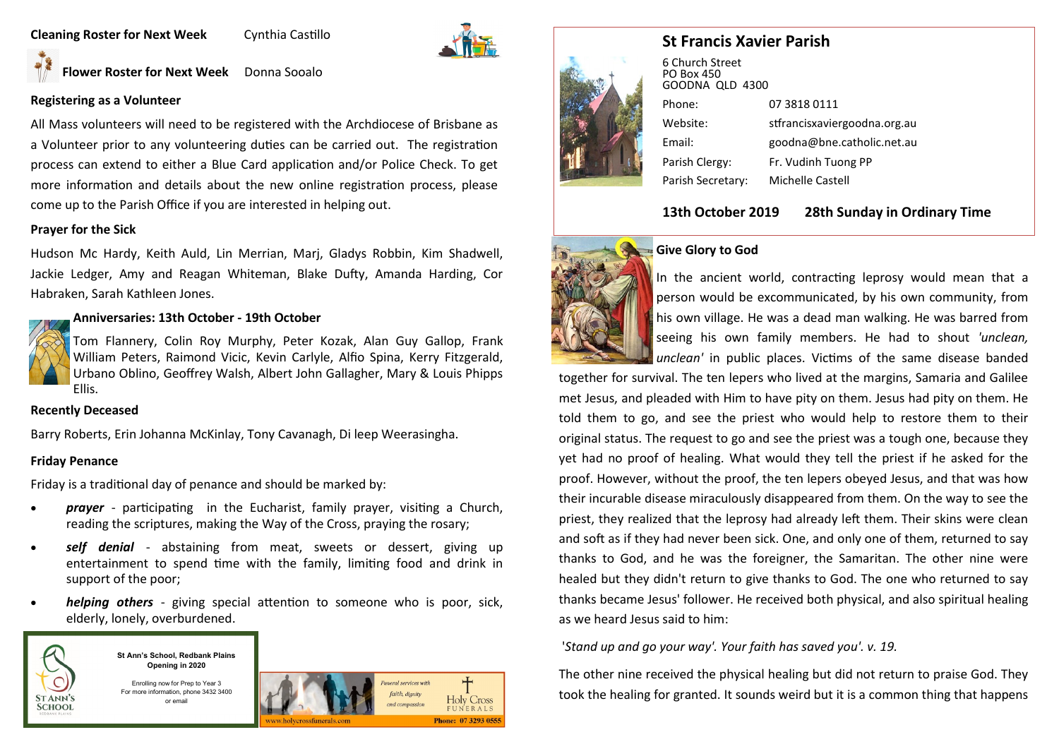### **Cleaning Roster for Next Week Cynthia Castillo**



**Flower Roster for Next Week** Donna Sooalo

### **Registering as a Volunteer**

All Mass volunteers will need to be registered with the Archdiocese of Brisbane as a Volunteer prior to any volunteering duties can be carried out. The registration process can extend to either a Blue Card application and/or Police Check. To get more information and details about the new online registration process, please come up to the Parish Office if you are interested in helping out.

## **Prayer for the Sick**

Hudson Mc Hardy, Keith Auld, Lin Merrian, Marj, Gladys Robbin, Kim Shadwell, Jackie Ledger, Amy and Reagan Whiteman, Blake Dufty, Amanda Harding, Cor Habraken, Sarah Kathleen Jones.

### **Anniversaries: 13th October - 19th October**



Tom Flannery, Colin Roy Murphy, Peter Kozak, Alan Guy Gallop, Frank William Peters, Raimond Vicic, Kevin Carlyle, Alfio Spina, Kerry Fitzgerald, Urbano Oblino, Geoffrey Walsh, Albert John Gallagher, Mary & Louis Phipps Ellis.

### **Recently Deceased**

Barry Roberts, Erin Johanna McKinlay, Tony Cavanagh, Di leep Weerasingha.

### **Friday Penance**

Friday is a traditional day of penance and should be marked by:

- *prayer*  participating in the Eucharist, family prayer, visiting a Church, reading the scriptures, making the Way of the Cross, praying the rosary;
- *self denial*  abstaining from meat, sweets or dessert, giving up entertainment to spend time with the family, limiting food and drink in support of the poor;
- *helping others*  giving special attention to someone who is poor, sick, elderly, lonely, overburdened.



**St Ann's School, Redbank Plains Opening in 2020**

Enrolling now for Prep to Year 3 For more information, phone 3432 3400 or email





6 Church Street PO Box 450 GOODNA QLD 4300 Phone: 07 3818 0111 Website: stfrancisxaviergoodna.org.au Email: goodna@bne.catholic.net.au Parish Clergy: Fr. Vudinh Tuong PP Parish Secretary: Michelle Castell

# **13th October 2019 28th Sunday in Ordinary Time**



### **Give Glory to God**

In the ancient world, contracting leprosy would mean that a person would be excommunicated, by his own community, from his own village. He was a dead man walking. He was barred from seeing his own family members. He had to shout *'unclean, unclean'* in public places. Victims of the same disease banded

together for survival. The ten lepers who lived at the margins, Samaria and Galilee met Jesus, and pleaded with Him to have pity on them. Jesus had pity on them. He told them to go, and see the priest who would help to restore them to their original status. The request to go and see the priest was a tough one, because they yet had no proof of healing. What would they tell the priest if he asked for the proof. However, without the proof, the ten lepers obeyed Jesus, and that was how their incurable disease miraculously disappeared from them. On the way to see the priest, they realized that the leprosy had already left them. Their skins were clean and soft as if they had never been sick. One, and only one of them, returned to say thanks to God, and he was the foreigner, the Samaritan. The other nine were healed but they didn't return to give thanks to God. The one who returned to say thanks became Jesus' follower. He received both physical, and also spiritual healing as we heard Jesus said to him:

'*Stand up and go your way'. Your faith has saved you'. v. 19.* 

The other nine received the physical healing but did not return to praise God. They took the healing for granted. It sounds weird but it is a common thing that happens